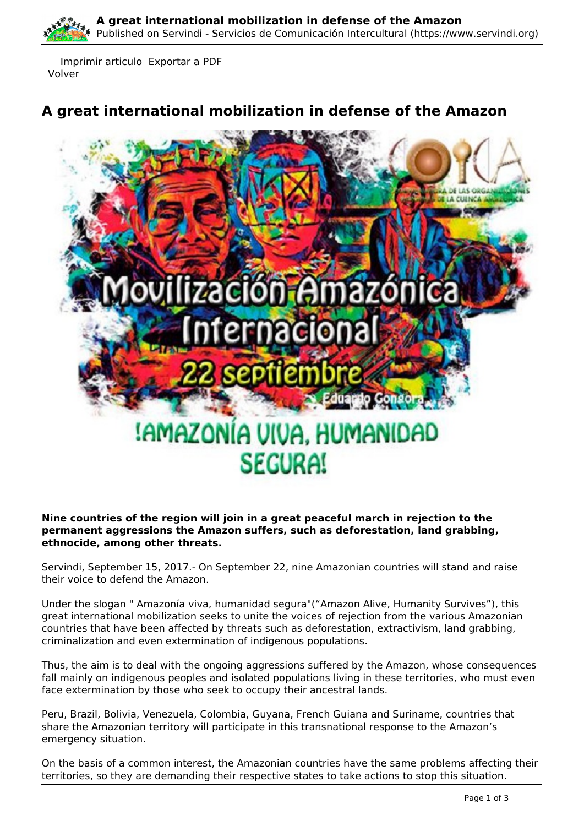Imprimir articulo Exportar a PDF Volver

# **A great international mobilization in defense of the Amazon**



### **Nine countries of the region will join in a great peaceful march in rejection to the permanent aggressions the Amazon suffers, such as deforestation, land grabbing, ethnocide, among other threats.**

Servindi, September 15, 2017.- On September 22, nine Amazonian countries will stand and raise their voice to defend the Amazon.

 countries that have been affected by threats such as deforestation, extractivism, land grabbing, Under the slogan " Amazonía viva, humanidad segura"("Amazon Alive, Humanity Survives"), this great international mobilization seeks to unite the voices of rejection from the various Amazonian criminalization and even extermination of indigenous populations.

Thus, the aim is to deal with the ongoing aggressions suffered by the Amazon, whose consequences fall mainly on indigenous peoples and isolated populations living in these territories, who must even face extermination by those who seek to occupy their ancestral lands.

Peru, Brazil, Bolivia, Venezuela, Colombia, Guyana, French Guiana and Suriname, countries that share the Amazonian territory will participate in this transnational response to the Amazon's emergency situation.

On the basis of a common interest, the Amazonian countries have the same problems affecting their territories, so they are demanding their respective states to take actions to stop this situation.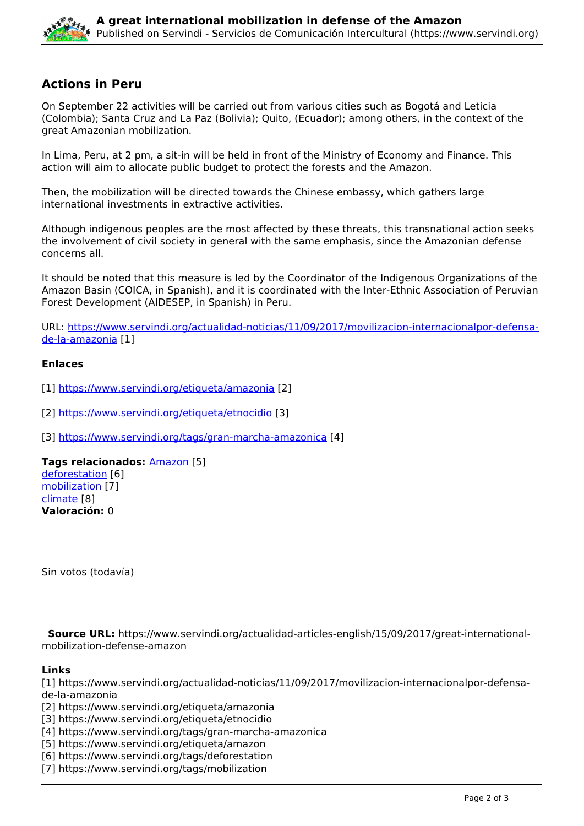

## **Actions in Peru**

On September 22 activities will be carried out from various cities such as Bogotá and Leticia (Colombia); Santa Cruz and La Paz (Bolivia); Quito, (Ecuador); among others, in the context of the great Amazonian mobilization.

In Lima, Peru, at 2 pm, a sit-in will be held in front of the Ministry of Economy and Finance. This action will aim to allocate public budget to protect the forests and the Amazon.

Then, the mobilization will be directed towards the Chinese embassy, which gathers large international investments in extractive activities.

Although indigenous peoples are the most affected by these threats, this transnational action seeks the involvement of civil society in general with the same emphasis, since the Amazonian defense concerns all.

It should be noted that this measure is led by the Coordinator of the Indigenous Organizations of the Amazon Basin (COICA, in Spanish), and it is coordinated with the Inter-Ethnic Association of Peruvian Forest Development (AIDESEP, in Spanish) in Peru.

URL: [https://www.servindi.org/actualidad-noticias/11/09/2017/movilizacion-internacionalpor-defensa](https://www.servindi.org/actualidad-noticias/11/09/2017/movilizacion-internacionalpor-defensa-de-la-amazonia)[de-la-amazonia](https://www.servindi.org/actualidad-noticias/11/09/2017/movilizacion-internacionalpor-defensa-de-la-amazonia) [1]

#### **Enlaces**

[1] <https://www.servindi.org/etiqueta/amazonia> [2]

[2] <https://www.servindi.org/etiqueta/etnocidio> [3]

[3] <https://www.servindi.org/tags/gran-marcha-amazonica> [4]

**Tags relacionados:** [Amazon](https://www.servindi.org/etiqueta/amazon) [5] [deforestation](https://www.servindi.org/tags/deforestation) [6] [mobilization](https://www.servindi.org/tags/mobilization) [7]

[climate](https://www.servindi.org/etiqueta/climate) [8] **Valoración:** 0

Sin votos (todavía)

 **Source URL:** https://www.servindi.org/actualidad-articles-english/15/09/2017/great-internationalmobilization-defense-amazon

## **Links**

[1] https://www.servindi.org/actualidad-noticias/11/09/2017/movilizacion-internacionalpor-defensade-la-amazonia

[2] https://www.servindi.org/etiqueta/amazonia

[3] https://www.servindi.org/etiqueta/etnocidio

[4] https://www.servindi.org/tags/gran-marcha-amazonica

[5] https://www.servindi.org/etiqueta/amazon

- [6] https://www.servindi.org/tags/deforestation
- [7] https://www.servindi.org/tags/mobilization